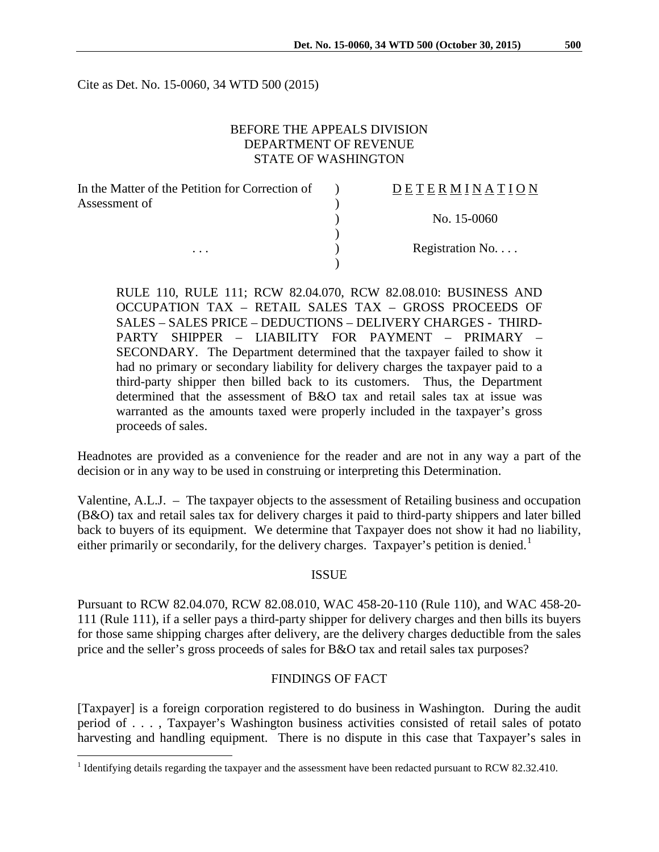Cite as Det. No. 15-0060, 34 WTD 500 (2015)

# BEFORE THE APPEALS DIVISION DEPARTMENT OF REVENUE STATE OF WASHINGTON

| In the Matter of the Petition for Correction of | DETERMINATION   |
|-------------------------------------------------|-----------------|
| Assessment of                                   |                 |
|                                                 | No. $15-0060$   |
|                                                 |                 |
| $\cdots$                                        | Registration No |
|                                                 |                 |

RULE 110, RULE 111; RCW 82.04.070, RCW 82.08.010: BUSINESS AND OCCUPATION TAX – RETAIL SALES TAX – GROSS PROCEEDS OF SALES – SALES PRICE – DEDUCTIONS – DELIVERY CHARGES - THIRD-PARTY SHIPPER – LIABILITY FOR PAYMENT – PRIMARY – SECONDARY. The Department determined that the taxpayer failed to show it had no primary or secondary liability for delivery charges the taxpayer paid to a third-party shipper then billed back to its customers. Thus, the Department determined that the assessment of B&O tax and retail sales tax at issue was warranted as the amounts taxed were properly included in the taxpayer's gross proceeds of sales.

Headnotes are provided as a convenience for the reader and are not in any way a part of the decision or in any way to be used in construing or interpreting this Determination.

Valentine, A.L.J. – The taxpayer objects to the assessment of Retailing business and occupation (B&O) tax and retail sales tax for delivery charges it paid to third-party shippers and later billed back to buyers of its equipment. We determine that Taxpayer does not show it had no liability, either primarily or secondarily, for the delivery charges. Taxpayer's petition is denied.<sup>[1](#page-0-0)</sup>

### ISSUE

Pursuant to RCW 82.04.070, RCW 82.08.010, WAC 458-20-110 (Rule 110), and WAC 458-20- 111 (Rule 111), if a seller pays a third-party shipper for delivery charges and then bills its buyers for those same shipping charges after delivery, are the delivery charges deductible from the sales price and the seller's gross proceeds of sales for B&O tax and retail sales tax purposes?

#### FINDINGS OF FACT

[Taxpayer] is a foreign corporation registered to do business in Washington. During the audit period of . . . , Taxpayer's Washington business activities consisted of retail sales of potato harvesting and handling equipment. There is no dispute in this case that Taxpayer's sales in

<span id="page-0-0"></span><sup>&</sup>lt;sup>1</sup> Identifying details regarding the taxpayer and the assessment have been redacted pursuant to RCW 82.32.410.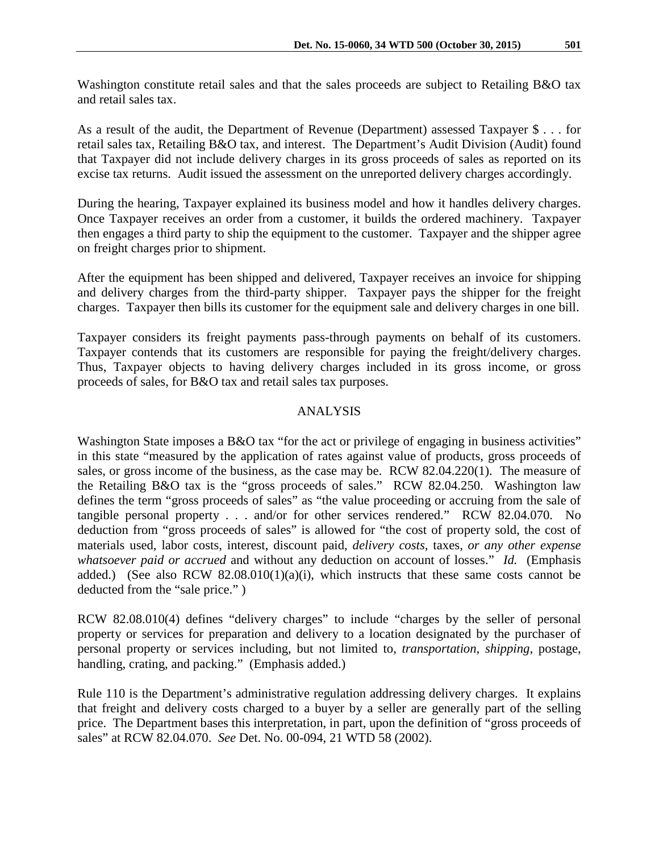Washington constitute retail sales and that the sales proceeds are subject to Retailing B&O tax and retail sales tax.

As a result of the audit, the Department of Revenue (Department) assessed Taxpayer \$ . . . for retail sales tax, Retailing B&O tax, and interest. The Department's Audit Division (Audit) found that Taxpayer did not include delivery charges in its gross proceeds of sales as reported on its excise tax returns. Audit issued the assessment on the unreported delivery charges accordingly.

During the hearing, Taxpayer explained its business model and how it handles delivery charges. Once Taxpayer receives an order from a customer, it builds the ordered machinery. Taxpayer then engages a third party to ship the equipment to the customer. Taxpayer and the shipper agree on freight charges prior to shipment.

After the equipment has been shipped and delivered, Taxpayer receives an invoice for shipping and delivery charges from the third-party shipper. Taxpayer pays the shipper for the freight charges. Taxpayer then bills its customer for the equipment sale and delivery charges in one bill.

Taxpayer considers its freight payments pass-through payments on behalf of its customers. Taxpayer contends that its customers are responsible for paying the freight/delivery charges. Thus, Taxpayer objects to having delivery charges included in its gross income, or gross proceeds of sales, for B&O tax and retail sales tax purposes.

# ANALYSIS

Washington State imposes a B&O tax "for the act or privilege of engaging in business activities" in this state "measured by the application of rates against value of products, gross proceeds of sales, or gross income of the business, as the case may be. RCW 82.04.220(1). The measure of the Retailing B&O tax is the "gross proceeds of sales." RCW 82.04.250. Washington law defines the term "gross proceeds of sales" as "the value proceeding or accruing from the sale of tangible personal property . . . and/or for other services rendered." RCW 82.04.070. No deduction from "gross proceeds of sales" is allowed for "the cost of property sold, the cost of materials used, labor costs, interest, discount paid, *delivery costs*, taxes, *or any other expense whatsoever paid or accrued* and without any deduction on account of losses." *Id.* (Emphasis added.) (See also RCW 82.08.010(1)(a)(i), which instructs that these same costs cannot be deducted from the "sale price." )

RCW 82.08.010(4) defines "delivery charges" to include "charges by the seller of personal property or services for preparation and delivery to a location designated by the purchaser of personal property or services including, but not limited to, *transportation*, *shipping*, postage, handling, crating, and packing." (Emphasis added.)

Rule 110 is the Department's administrative regulation addressing delivery charges. It explains that freight and delivery costs charged to a buyer by a seller are generally part of the selling price. The Department bases this interpretation, in part, upon the definition of "gross proceeds of sales" at RCW 82.04.070. *See* Det. No. 00-094, 21 WTD 58 (2002).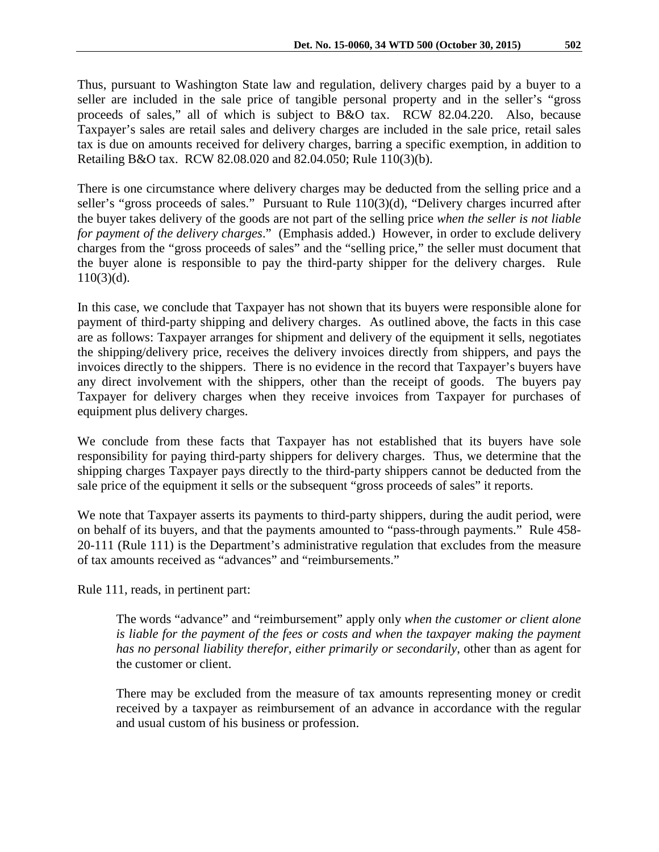Thus, pursuant to Washington State law and regulation, delivery charges paid by a buyer to a seller are included in the sale price of tangible personal property and in the seller's "gross proceeds of sales," all of which is subject to B&O tax. RCW 82.04.220. Also, because Taxpayer's sales are retail sales and delivery charges are included in the sale price, retail sales tax is due on amounts received for delivery charges, barring a specific exemption, in addition to Retailing B&O tax. RCW 82.08.020 and 82.04.050; Rule 110(3)(b).

There is one circumstance where delivery charges may be deducted from the selling price and a seller's "gross proceeds of sales." Pursuant to Rule 110(3)(d), "Delivery charges incurred after the buyer takes delivery of the goods are not part of the selling price *when the seller is not liable for payment of the delivery charges*." (Emphasis added.) However, in order to exclude delivery charges from the "gross proceeds of sales" and the "selling price," the seller must document that the buyer alone is responsible to pay the third-party shipper for the delivery charges. Rule 110(3)(d).

In this case, we conclude that Taxpayer has not shown that its buyers were responsible alone for payment of third-party shipping and delivery charges. As outlined above, the facts in this case are as follows: Taxpayer arranges for shipment and delivery of the equipment it sells, negotiates the shipping/delivery price, receives the delivery invoices directly from shippers, and pays the invoices directly to the shippers. There is no evidence in the record that Taxpayer's buyers have any direct involvement with the shippers, other than the receipt of goods. The buyers pay Taxpayer for delivery charges when they receive invoices from Taxpayer for purchases of equipment plus delivery charges.

We conclude from these facts that Taxpayer has not established that its buyers have sole responsibility for paying third-party shippers for delivery charges. Thus, we determine that the shipping charges Taxpayer pays directly to the third-party shippers cannot be deducted from the sale price of the equipment it sells or the subsequent "gross proceeds of sales" it reports.

We note that Taxpayer asserts its payments to third-party shippers, during the audit period, were on behalf of its buyers, and that the payments amounted to "pass-through payments." Rule 458- 20-111 (Rule 111) is the Department's administrative regulation that excludes from the measure of tax amounts received as "advances" and "reimbursements."

Rule 111, reads, in pertinent part:

The words "advance" and "reimbursement" apply only *when the customer or client alone*  is liable for the payment of the fees or costs and when the taxpayer making the payment *has no personal liability therefor, either primarily or secondarily*, other than as agent for the customer or client.

There may be excluded from the measure of tax amounts representing money or credit received by a taxpayer as reimbursement of an advance in accordance with the regular and usual custom of his business or profession.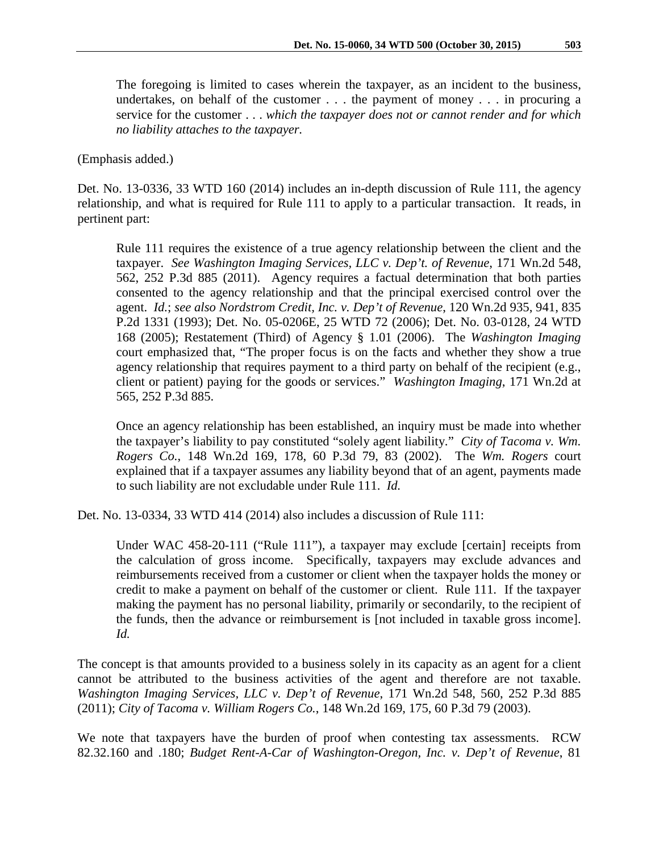The foregoing is limited to cases wherein the taxpayer, as an incident to the business, undertakes, on behalf of the customer . . . the payment of money . . . in procuring a service for the customer . . . *which the taxpayer does not or cannot render and for which no liability attaches to the taxpayer.*

#### (Emphasis added.)

Det. No. 13-0336, 33 WTD 160 (2014) includes an in-depth discussion of Rule 111, the agency relationship, and what is required for Rule 111 to apply to a particular transaction. It reads, in pertinent part:

Rule 111 requires the existence of a true agency relationship between the client and the taxpayer. *See Washington Imaging Services, LLC v. Dep't. of Revenue*, 171 Wn.2d 548, 562, 252 P.3d 885 (2011). Agency requires a factual determination that both parties consented to the agency relationship and that the principal exercised control over the agent. *Id.*; *see also Nordstrom Credit, Inc. v. Dep't of Revenue*, 120 Wn.2d 935, 941, 835 P.2d 1331 (1993); Det. No. 05-0206E, 25 WTD 72 (2006); Det. No. 03-0128, 24 WTD 168 (2005); Restatement (Third) of Agency § 1.01 (2006). The *Washington Imaging* court emphasized that, "The proper focus is on the facts and whether they show a true agency relationship that requires payment to a third party on behalf of the recipient (e.g., client or patient) paying for the goods or services." *Washington Imaging*, 171 Wn.2d at 565, 252 P.3d 885.

Once an agency relationship has been established, an inquiry must be made into whether the taxpayer's liability to pay constituted "solely agent liability." *City of Tacoma v. Wm. Rogers Co.*, 148 Wn.2d 169, 178, 60 P.3d 79, 83 (2002). The *Wm. Rogers* court explained that if a taxpayer assumes any liability beyond that of an agent, payments made to such liability are not excludable under Rule 111. *Id.*

Det. No. 13-0334, 33 WTD 414 (2014) also includes a discussion of Rule 111:

Under WAC 458-20-111 ("Rule 111"), a taxpayer may exclude [certain] receipts from the calculation of gross income. Specifically, taxpayers may exclude advances and reimbursements received from a customer or client when the taxpayer holds the money or credit to make a payment on behalf of the customer or client. Rule 111. If the taxpayer making the payment has no personal liability, primarily or secondarily, to the recipient of the funds, then the advance or reimbursement is [not included in taxable gross income]. *Id.*

The concept is that amounts provided to a business solely in its capacity as an agent for a client cannot be attributed to the business activities of the agent and therefore are not taxable. *Washington Imaging Services, LLC v. Dep't of Revenue*, 171 Wn.2d 548, 560, 252 P.3d 885 (2011); *City of Tacoma v. William Rogers Co.*, 148 Wn.2d 169, 175, 60 P.3d 79 (2003).

We note that taxpayers have the burden of proof when contesting tax assessments. RCW 82.32.160 and .180; *Budget Rent-A-Car of Washington-Oregon, Inc. v. Dep't of Revenue*, 81